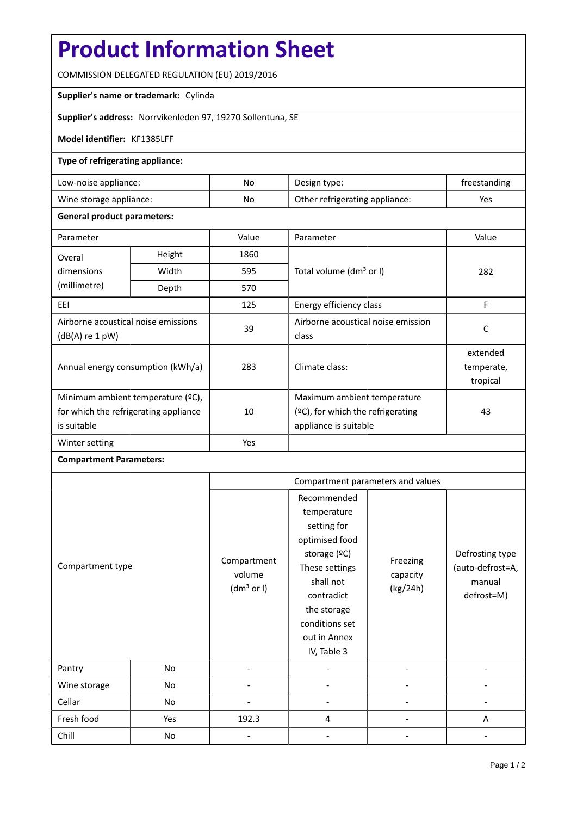# **Product Information Sheet**

COMMISSION DELEGATED REGULATION (EU) 2019/2016

### **Supplier's name or trademark:** Cylinda

**Supplier's address:** Norrvikenleden 97, 19270 Sollentuna, SE

### **Model identifier:** KF1385LFF

#### **Type of refrigerating appliance:**

| Low-noise appliance:    | No | Design type:                   | treestanding |
|-------------------------|----|--------------------------------|--------------|
| Wine storage appliance: | No | Other refrigerating appliance: | Yes          |

#### **General product parameters:**

| Parameter                                              |                                                     | Value | Parameter                            | Value      |
|--------------------------------------------------------|-----------------------------------------------------|-------|--------------------------------------|------------|
| Overal                                                 | Height                                              | 1860  |                                      |            |
| dimensions                                             | Width<br>595<br>Total volume (dm <sup>3</sup> or I) |       |                                      | 282        |
| (millimetre)                                           | Depth                                               | 570   |                                      |            |
| EEI                                                    |                                                     | 125   | Energy efficiency class              | F          |
| Airborne acoustical noise emissions<br>(dB(A) re 1 pW) |                                                     | 39    | Airborne acoustical noise emission   | C          |
|                                                        |                                                     |       | class                                |            |
| Annual energy consumption (kWh/a)                      |                                                     | 283   |                                      | extended   |
|                                                        |                                                     |       | Climate class:                       | temperate, |
|                                                        |                                                     |       |                                      | tropical   |
| Minimum ambient temperature (°C),                      |                                                     |       | Maximum ambient temperature          |            |
| for which the refrigerating appliance<br>is suitable   |                                                     | 10    | $(°C)$ , for which the refrigerating | 43         |
|                                                        |                                                     |       | appliance is suitable                |            |
| Winter setting                                         |                                                     | Yes   |                                      |            |

## **Compartment Parameters:**

| Compartment type |     | Compartment parameters and values               |                                                                                                                                                                                          |                                  |                                                             |
|------------------|-----|-------------------------------------------------|------------------------------------------------------------------------------------------------------------------------------------------------------------------------------------------|----------------------------------|-------------------------------------------------------------|
|                  |     | Compartment<br>volume<br>(dm <sup>3</sup> or I) | Recommended<br>temperature<br>setting for<br>optimised food<br>storage (ºC)<br>These settings<br>shall not<br>contradict<br>the storage<br>conditions set<br>out in Annex<br>IV, Table 3 | Freezing<br>capacity<br>(kg/24h) | Defrosting type<br>(auto-defrost=A,<br>manual<br>defrost=M) |
| Pantry           | No  |                                                 |                                                                                                                                                                                          |                                  |                                                             |
| Wine storage     | No  |                                                 |                                                                                                                                                                                          |                                  |                                                             |
| Cellar           | No  |                                                 |                                                                                                                                                                                          |                                  |                                                             |
| Fresh food       | Yes | 192.3                                           | 4                                                                                                                                                                                        |                                  | A                                                           |
| Chill            | No  |                                                 |                                                                                                                                                                                          |                                  |                                                             |